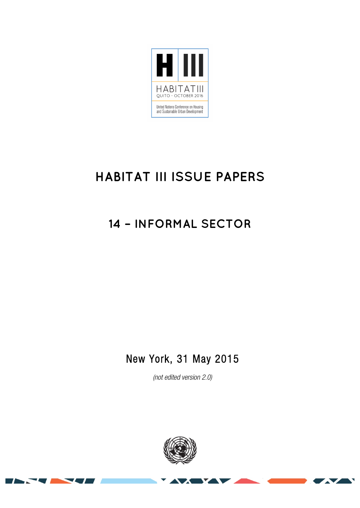

# **HABITAT III ISSUE PAPERS**

## **14 – INFORMAL SECTOR**

### New York, 31 May 2015

*(not edited version* 2.0*)* 



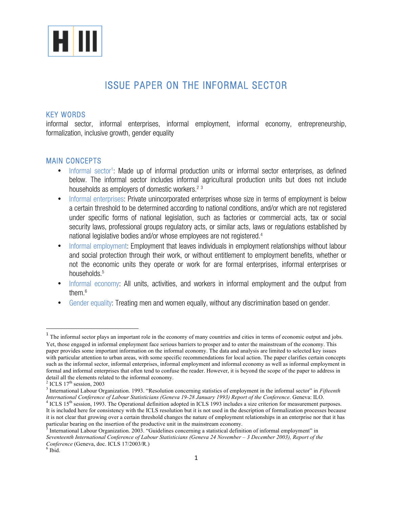

### ISSUE PAPER ON THE INFORMAL SECTOR

#### KEY WORDS

informal sector, informal enterprises, informal employment, informal economy, entrepreneurship, formalization, inclusive growth, gender equality

#### MAIN CONCEPTS

- Informal sector<sup>1</sup>: Made up of informal production units or informal sector enterprises, as defined below. The informal sector includes informal agricultural production units but does not include households as employers of domestic workers.<sup>23</sup>
- Informal enterprises: Private unincorporated enterprises whose size in terms of employment is below a certain threshold to be determined according to national conditions, and/or which are not registered under specific forms of national legislation, such as factories or commercial acts, tax or social security laws, professional groups regulatory acts, or similar acts, laws or regulations established by national legislative bodies and/or whose employees are not registered.4
- Informal employment: Employment that leaves individuals in employment relationships without labour and social protection through their work, or without entitlement to employment benefits, whether or not the economic units they operate or work for are formal enterprises, informal enterprises or households.<sup>5</sup>
- Informal economy: All units, activities, and workers in informal employment and the output from them.6
- Gender equality: Treating men and women equally, without any discrimination based on gender.

<sup>&</sup>lt;sup>1</sup> The informal sector plays an important role in the economy of many countries and cities in terms of economic output and jobs. Yet, those engaged in informal employment face serious barriers to prosper and to enter the mainstream of the economy. This paper provides some important information on the informal economy. The data and analysis are limited to selected key issues with particular attention to urban areas, with some specific recommendations for local action. The paper clarifies certain concepts such as the informal sector, informal enterprises, informal employment and informal economy as well as informal employment in formal and informal enterprises that often tend to confuse the reader. However, it is beyond the scope of the paper to address in

detail all the elements related to the informal economy.<br><sup>2</sup> ICLS 17<sup>th</sup> session, 2003<br><sup>3</sup> International Labour Organization. 1993. "Resolution concerning statistics of employment in the informal sector" in *Fifteenth*<br>*In*  $4$  ICLS 15<sup>th</sup> session, 1993. The Operational definition adopted in ICLS 1993 includes a size criterion for measurement purposes. It is included here for consistency with the ICLS resolution but it is not used in the description of formalization processes because it is not clear that growing over a certain threshold changes the nature of employment relationships in an enterprise nor that it has

particular bearing on the insertion of the productive unit in the mainstream economy.<br>
S International Labour Oriental Constitution of the productive unit in the mainstream economy.

<sup>5</sup> International Labour Organization. 2003. "Guidelines concerning a statistical definition of informal employment" in *Seventeenth International Conference of Labour Statisticians (Geneva 24 November – 3 December 2003), Report of the Conference* (Geneva, doc. ICLS 17/2003/R.)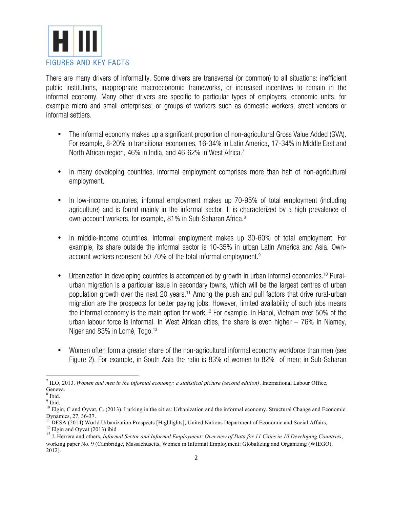

There are many drivers of informality. Some drivers are transversal (or common) to all situations: inefficient public institutions, inappropriate macroeconomic frameworks, or increased incentives to remain in the informal economy. Many other drivers are specific to particular types of employers; economic units, for example micro and small enterprises; or groups of workers such as domestic workers, street vendors or informal settlers.

- The informal economy makes up a significant proportion of non-agricultural Gross Value Added (GVA). For example, 8-20% in transitional economies, 16-34% in Latin America, 17-34% in Middle East and North African region, 46% in India, and 46-62% in West Africa.<sup>7</sup>
- In many developing countries, informal employment comprises more than half of non-agricultural employment.
- In low-income countries, informal employment makes up 70-95% of total employment (including agriculture) and is found mainly in the informal sector. It is characterized by a high prevalence of own-account workers, for example, 81% in Sub-Saharan Africa.<sup>8</sup>
- In middle-income countries, informal employment makes up 30-60% of total employment. For example, its share outside the informal sector is 10-35% in urban Latin America and Asia. Ownaccount workers represent 50-70% of the total informal employment.9
- Urbanization in developing countries is accompanied by growth in urban informal economies.<sup>10</sup> Ruralurban migration is a particular issue in secondary towns, which will be the largest centres of urban population growth over the next 20 years.<sup>11</sup> Among the push and pull factors that drive rural-urban migration are the prospects for better paying jobs. However, limited availability of such jobs means the informal economy is the main option for work.12 For example, in Hanoi, Vietnam over 50% of the urban labour force is informal. In West African cities, the share is even higher – 76% in Niamey, Niger and 83% in Lomé, Togo.<sup>13</sup>
- Women often form a greater share of the non-agricultural informal economy workforce than men (see Figure 2). For example, in South Asia the ratio is 83% of women to 82% of men; in Sub-Saharan

<u> 1989 - Jan Samuel Barbara, margaret e</u>

 $^7$  ILO, 2013. *Women and men in the informal economy: a statistical picture (second edition)*. International Labour Office, Geneva.<br><sup>8</sup> Ibid.

<sup>&</sup>lt;sup>9</sup> Ibid. <sup>10</sup> Elgin, C and Oyvat, C. (2013). Lurking in the cities: Urbanization and the informal economy. Structural Change and Economic Dynamics, 27, 36-37.

<sup>&</sup>lt;sup>11</sup> DESA (2014) World Urbanization Prospects [Highlights]; United Nations Department of Economic and Social Affairs,<br><sup>12</sup> Elgin and Oyvat (2013) ibid<br><sup>13</sup> J. Herrera and others, *Informal Sector and Informal Employment:* 

working paper No. 9 (Cambridge, Massachusetts, Women in Informal Employment: Globalizing and Organizing (WIEGO), 2012).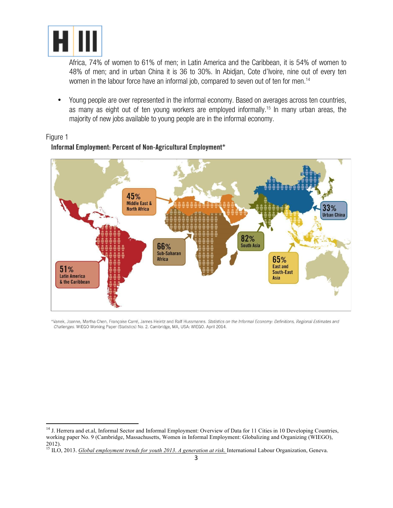

<u> 1989 - Jan Samuel Barbara, margaret e</u>

Africa, 74% of women to 61% of men; in Latin America and the Caribbean, it is 54% of women to 48% of men; and in urban China it is 36 to 30%. In Abidjan, Cote d'Ivoire, nine out of every ten women in the labour force have an informal job, compared to seven out of ten for men.<sup>14</sup>

• Young people are over represented in the informal economy. Based on averages across ten countries, as many as eight out of ten young workers are employed informally.<sup>15</sup> In many urban areas, the majority of new jobs available to young people are in the informal economy.

#### Figure 1 Informal Employment: Percent of Non-Agricultural Employment\*



\*Vanek, Joanne, Martha Chen, Françoise Carré, James Heintz and Ralf Hussmanns. Statistics on the Informal Economy: Definitions, Regional Estimates and Challenges. WIEGO Working Paper (Statistics) No. 2. Cambridge, MA, USA: WIEGO. April 2014.

<sup>&</sup>lt;sup>14</sup> J. Herrera and et.al, Informal Sector and Informal Employment: Overview of Data for 11 Cities in 10 Developing Countries, working paper No. 9 (Cambridge, Massachusetts, Women in Informal Employment: Globalizing and Organizing (WIEGO), 2012).

<sup>15</sup> ILO, 2013. *Global employment trends for youth 2013*. *A generation at risk*. International Labour Organization, Geneva.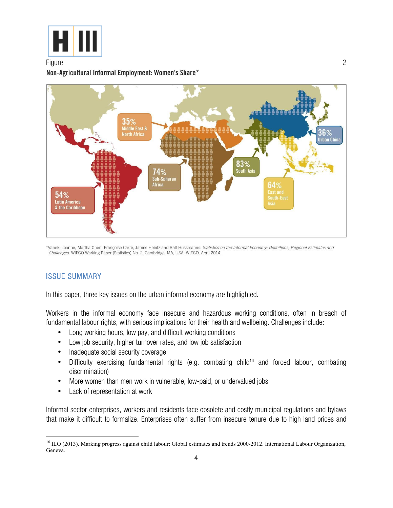

#### Figure 2014 - 2014 - 2022 - 2022 - 2022 - 2022 - 2022 - 2022 - 2023 - 2022 - 2023 - 2023 - 2023 - 2023 - 2023 Non-Agricultural Informal Employment: Women's Share\*



\*Vanek, Joanne, Martha Chen, Françoise Carré, James Heintz and Ralf Hussmanns. Statistics on the Informal Economy: Definitions, Regional Estimates and Challenges. WIEGO Working Paper (Statistics) No. 2. Cambridge, MA, USA: WIEGO. April 2014.

#### ISSUE SUMMARY

In this paper, three key issues on the urban informal economy are highlighted.

Workers in the informal economy face insecure and hazardous working conditions, often in breach of fundamental labour rights, with serious implications for their health and wellbeing. Challenges include:

- Long working hours, low pay, and difficult working conditions
- Low job security, higher turnover rates, and low job satisfaction
- Inadequate social security coverage
- Difficulty exercising fundamental rights (e.g. combating child<sup>16</sup> and forced labour, combating discrimination)
- More women than men work in vulnerable, low-paid, or undervalued jobs
- Lack of representation at work

<u> 1989 - Jan Samuel Barbara, margaret e</u>

Informal sector enterprises, workers and residents face obsolete and costly municipal regulations and bylaws that make it difficult to formalize. Enterprises often suffer from insecure tenure due to high land prices and

<sup>&</sup>lt;sup>16</sup> ILO (2013). Marking progress against child labour: Global estimates and trends 2000-2012. International Labour Organization, Geneva.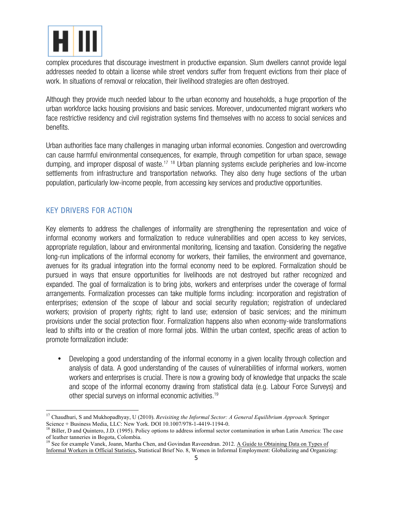

complex procedures that discourage investment in productive expansion. Slum dwellers cannot provide legal addresses needed to obtain a license while street vendors suffer from frequent evictions from their place of work. In situations of removal or relocation, their livelihood strategies are often destroyed.

Although they provide much needed labour to the urban economy and households, a huge proportion of the urban workforce lacks housing provisions and basic services. Moreover, undocumented migrant workers who face restrictive residency and civil registration systems find themselves with no access to social services and benefits.

Urban authorities face many challenges in managing urban informal economies. Congestion and overcrowding can cause harmful environmental consequences, for example, through competition for urban space, sewage dumping, and improper disposal of waste.<sup>17</sup> <sup>18</sup> Urban planning systems exclude peripheries and low-income settlements from infrastructure and transportation networks. They also deny huge sections of the urban population, particularly low-income people, from accessing key services and productive opportunities.

#### KEY DRIVERS FOR ACTION

 

Key elements to address the challenges of informality are strengthening the representation and voice of informal economy workers and formalization to reduce vulnerabilities and open access to key services, appropriate regulation, labour and environmental monitoring, licensing and taxation. Considering the negative long-run implications of the informal economy for workers, their families, the environment and governance, avenues for its gradual integration into the formal economy need to be explored. Formalization should be pursued in ways that ensure opportunities for livelihoods are not destroyed but rather recognized and expanded. The goal of formalization is to bring jobs, workers and enterprises under the coverage of formal arrangements. Formalization processes can take multiple forms including: incorporation and registration of enterprises; extension of the scope of labour and social security regulation; registration of undeclared workers; provision of property rights; right to land use; extension of basic services; and the minimum provisions under the social protection floor. Formalization happens also when economy-wide transformations lead to shifts into or the creation of more formal jobs. Within the urban context, specific areas of action to promote formalization include:

• Developing a good understanding of the informal economy in a given locality through collection and analysis of data. A good understanding of the causes of vulnerabilities of informal workers, women workers and enterprises is crucial. There is now a growing body of knowledge that unpacks the scale and scope of the informal economy drawing from statistical data (e.g. Labour Force Surveys) and other special surveys on informal economic activities.19

<sup>&</sup>lt;sup>17</sup> Chaudhuri, S and Mukhopadhyay, U (2010). *Revisiting the Informal Sector: A General Equilibrium Approach.* Springer Science + Business Media, LLC: New York. DOI 10.1007/978-1-4419-1194-0.

<sup>&</sup>lt;sup>18</sup> Biller, D and Quintero, J.D. (1995). Policy options to address informal sector contamination in urban Latin America: The case of leather tanneries in Bogota, Colombia.

<sup>&</sup>lt;sup>19</sup> See for example Vanek, Joann, Martha Chen, and Govindan Raveendran. 2012. A Guide to Obtaining Data on Types of Informal Workers in Official Statistics**,** Statistical Brief No. 8, Women in Informal Employment: Globalizing and Organizing: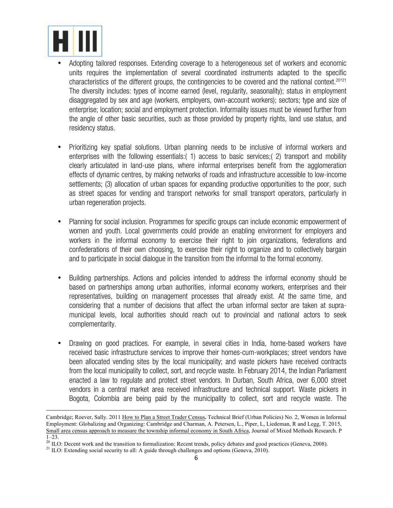

- Adopting tailored responses. Extending coverage to a heterogeneous set of workers and economic units requires the implementation of several coordinated instruments adapted to the specific characteristics of the different groups, the contingencies to be covered and the national context.<sup>20'21</sup> The diversity includes: types of income earned (level, regularity, seasonality); status in employment disaggregated by sex and age (workers, employers, own-account workers); sectors; type and size of enterprise; location; social and employment protection. Informality issues must be viewed further from the angle of other basic securities, such as those provided by property rights, land use status, and residency status.
- Prioritizing key spatial solutions. Urban planning needs to be inclusive of informal workers and enterprises with the following essentials:( 1) access to basic services;( 2) transport and mobility clearly articulated in land-use plans, where informal enterprises benefit from the agglomeration effects of dynamic centres, by making networks of roads and infrastructure accessible to low-income settlements; (3) allocation of urban spaces for expanding productive opportunities to the poor, such as street spaces for vending and transport networks for small transport operators, particularly in urban regeneration projects.
- Planning for social inclusion. Programmes for specific groups can include economic empowerment of women and youth. Local governments could provide an enabling environment for employers and workers in the informal economy to exercise their right to join organizations, federations and confederations of their own choosing, to exercise their right to organize and to collectively bargain and to participate in social dialogue in the transition from the informal to the formal economy.
- Building partnerships. Actions and policies intended to address the informal economy should be based on partnerships among urban authorities, informal economy workers, enterprises and their representatives, building on management processes that already exist. At the same time, and considering that a number of decisions that affect the urban informal sector are taken at supramunicipal levels, local authorities should reach out to provincial and national actors to seek complementarity.
- Drawing on good practices. For example, in several cities in India, home-based workers have received basic infrastructure services to improve their homes-cum-workplaces; street vendors have been allocated vending sites by the local municipality; and waste pickers have received contracts from the local municipality to collect, sort, and recycle waste. In February 2014, the Indian Parliament enacted a law to regulate and protect street vendors. In Durban, South Africa, over 6,000 street vendors in a central market area received infrastructure and technical support. Waste pickers in Bogota, Colombia are being paid by the municipality to collect, sort and recycle waste. The

Cambridge; Roever, Sally. 2011 How to Plan a Street Trader Census**.** Technical Brief (Urban Policies) No. 2, Women in Informal Employment: Globalizing and Organizing: Cambridge and Charman, A. Petersen, L., Piper, L, Liedeman, R and Legg, T. 2015, Small area census approach to measure the township informal economy in South Africa, Journal of Mixed Methods Research. P  $\frac{1}{20}$  ILO: Decent work and the transition to formalization: Recent trends, policy debates and good practices (Geneva, 2008). <sup>21</sup> ILO: Extending social security to all: A guide through challenges and options (Geneva,